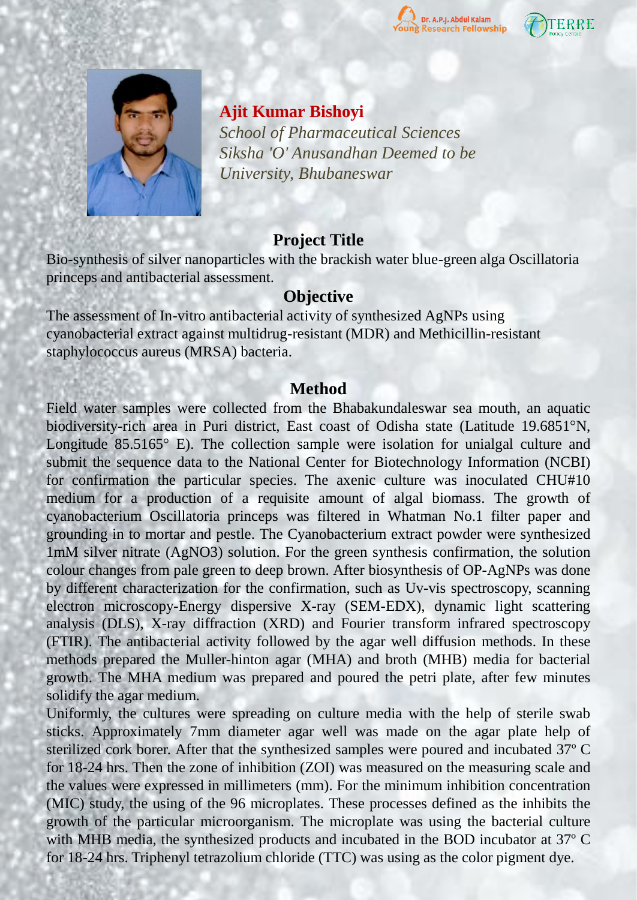



**Ajit Kumar Bishoyi**

*School of Pharmaceutical Sciences Siksha 'O' Anusandhan Deemed to be University, Bhubaneswar*

# **Project Title**

Bio-synthesis of silver nanoparticles with the brackish water blue-green alga Oscillatoria princeps and antibacterial assessment.

# **Objective**

The assessment of In-vitro antibacterial activity of synthesized AgNPs using cyanobacterial extract against multidrug-resistant (MDR) and Methicillin-resistant staphylococcus aureus (MRSA) bacteria.

## **Method**

Field water samples were collected from the Bhabakundaleswar sea mouth, an aquatic biodiversity-rich area in Puri district, East coast of Odisha state (Latitude 19.6851°N, Longitude 85.5165<sup>°</sup> E). The collection sample were isolation for unialgal culture and submit the sequence data to the National Center for Biotechnology Information (NCBI) for confirmation the particular species. The axenic culture was inoculated CHU#10 medium for a production of a requisite amount of algal biomass. The growth of cyanobacterium Oscillatoria princeps was filtered in Whatman No.1 filter paper and grounding in to mortar and pestle. The Cyanobacterium extract powder were synthesized 1mM silver nitrate (AgNO3) solution. For the green synthesis confirmation, the solution colour changes from pale green to deep brown. After biosynthesis of OP-AgNPs was done by different characterization for the confirmation, such as Uv-vis spectroscopy, scanning electron microscopy-Energy dispersive X-ray (SEM-EDX), dynamic light scattering analysis (DLS), X-ray diffraction (XRD) and Fourier transform infrared spectroscopy (FTIR). The antibacterial activity followed by the agar well diffusion methods. In these methods prepared the Muller-hinton agar (MHA) and broth (MHB) media for bacterial growth. The MHA medium was prepared and poured the petri plate, after few minutes solidify the agar medium.

Uniformly, the cultures were spreading on culture media with the help of sterile swab sticks. Approximately 7mm diameter agar well was made on the agar plate help of sterilized cork borer. After that the synthesized samples were poured and incubated 37º C for 18-24 hrs. Then the zone of inhibition (ZOI) was measured on the measuring scale and the values were expressed in millimeters (mm). For the minimum inhibition concentration (MIC) study, the using of the 96 microplates. These processes defined as the inhibits the growth of the particular microorganism. The microplate was using the bacterial culture with MHB media, the synthesized products and incubated in the BOD incubator at 37º C for 18-24 hrs. Triphenyl tetrazolium chloride (TTC) was using as the color pigment dye.